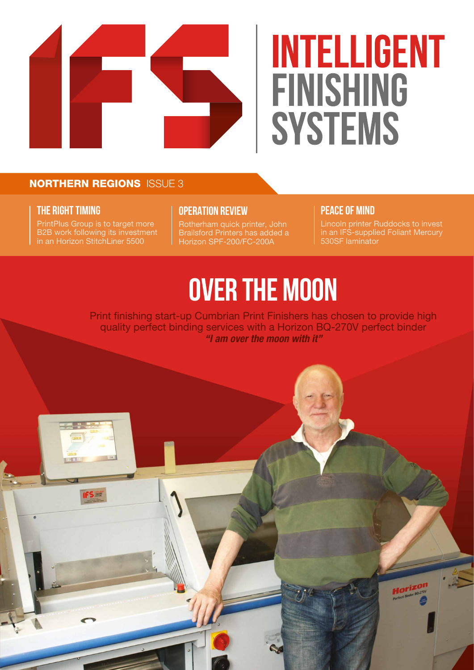

## **INTELLIGENT** FINISHING **SYSTEMS**

#### NORTHERN REGIONS ISSUE 3

#### **THE RIGHT TIMING**

PrintPlus Group is to target more B2B work following its investment in an Horizon StitchLiner 5500

#### **OPERATION REVIEW**

Rotherham quick printer, John Brailsford Printers has added a Horizon SPF-200/FC-200A

#### **PEACE OF MIND**

Lincoln printer Ruddocks to invest in an IFS-supplied Foliant Mercury 530SF laminator

## **OVER THE MOON**

Print finishing start-up Cumbrian Print Finishers has chosen to provide high quality perfect binding services with a Horizon BQ-270V perfect binder *"I am over the moon with it"*

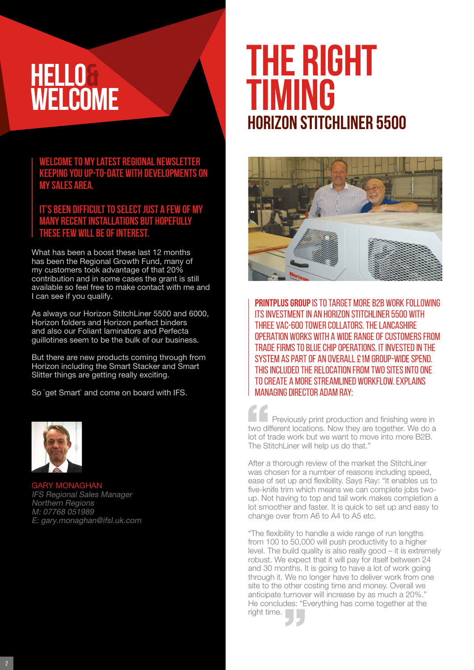### **HELLO& WELCOME**

**Welcome to my latest regional newsletter keeping you up-to-date with developments on my sales area.**

**It's been difficult to select just a few of my many recent installations but hopefully these few will be of interest.** 

What has been a boost these last 12 months has been the Regional Growth Fund, many of my customers took advantage of that 20% contribution and in some cases the grant is still available so feel free to make contact with me and I can see if you qualify.

As always our Horizon StitchLiner 5500 and 6000, Horizon folders and Horizon perfect binders and also our Foliant laminators and Perfecta guillotines seem to be the bulk of our business.

But there are new products coming through from Horizon including the Smart Stacker and Smart Slitter things are getting really exciting.

So `get Smart` and come on board with IFS.



GARY MONAGHAN IFS Regional Sales Manager Northern Regions M: 07768 051989 E: gary.monaghan@ifsl.uk.com

### **Horizon StitchLiner 5500 THE RIGHT TIMING**



**PRINTPLUS GROUP** IS TO TARGET MORE B2B WORK FOLLOWING its investment in an Horizon StitchLiner 5500 with three VAC-600 tower collators. The Lancashire operation works with a wide range of customers from trade firms to blue chip operations. It invested in the system as part of an overall £1m group-wide spend. This included the relocation from two sites into one to create a more streamlined workflow. Explains managing director Adam Ray:

Previously print production and finishing were in two different locations. Now they are together. We do a lot of trade work but we want to move into more B2B. The StitchLiner will help us do that."

After a thorough review of the market the StitchLiner was chosen for a number of reasons including speed, ease of set up and flexibility. Says Ray: "It enables us to five-knife trim which means we can complete jobs twoup. Not having to top and tail work makes completion a lot smoother and faster. It is quick to set up and easy to change over from A6 to A4 to A5 etc.

"The flexibility to handle a wide range of run lengths from 100 to 50,000 will push productivity to a higher level. The build quality is also really good – it is extremely robust. We expect that it will pay for itself between 24 and 30 months. It is going to have a lot of work going through it. We no longer have to deliver work from one site to the other costing time and money. Overall we anticipate turnover will increase by as much a 20%.' He concludes: "Everything has come together at the right time.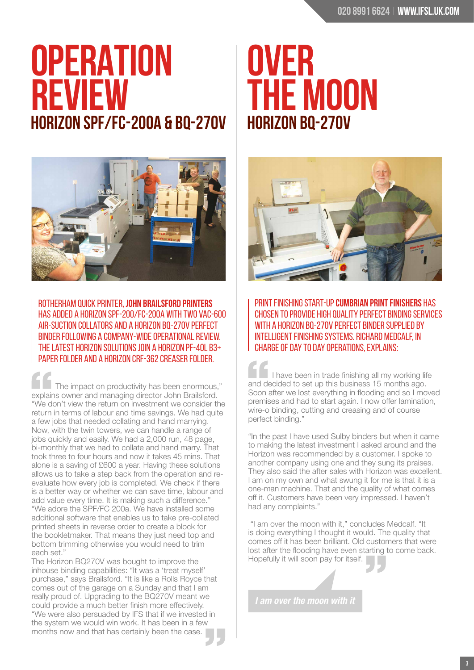### **Horizon SPF/FC-200a & BQ-270V OPERATION REVIEW**



Rotherham quick printer, **John Brailsford Printers** has added a Horizon SPF-200/FC-200A with two VAC-600 Air-Suction Collators and a Horizon BQ-270V perfect binder following a company-wide operational review. The latest Horizon solutions join a Horizon PF-40L B3+ paper folder and a Horizon CRF-362 creaser folder.

The impact on productivity has been enormous," explains owner and managing director John Brailsford. "We don't view the return on investment we consider the return in terms of labour and time savings. We had quite a few jobs that needed collating and hand marrying. Now, with the twin towers, we can handle a range of jobs quickly and easily. We had a 2,000 run, 48 page, bi-monthly that we had to collate and hand marry. That took three to four hours and now it takes 45 mins. That alone is a saving of £600 a year. Having these solutions allows us to take a step back from the operation and reevaluate how every job is completed. We check if there is a better way or whether we can save time, labour and add value every time. It is making such a difference." "We adore the SPF/FC 200a. We have installed some additional software that enables us to take pre-collated printed sheets in reverse order to create a block for the bookletmaker. That means they just need top and bottom trimming otherwise you would need to trim each set."

The Horizon BQ270V was bought to improve the inhouse binding capabilities: "It was a 'treat myself' purchase," says Brailsford. "It is like a Rolls Royce that comes out of the garage on a Sunday and that I am really proud of. Upgrading to the BQ270V meant we could provide a much better finish more effectively. "We were also persuaded by IFS that if we invested in the system we would win work. It has been in a few months now and that has certainly been the case.

### **Horizon BQ-270V OVER THE MOON**



Print finishing start-up **Cumbrian Print Finishers** has chosen to provide high quality perfect binding services WITH A HORIZON BO-270V PERFECT BINDER SUPPLIED BY Intelligent Finishing Systems. Richard Medcalf, in charge of day to day operations, explains:

I have been in trade finishing all my working life and decided to set up this business 15 months ago. Soon after we lost everything in flooding and so I moved premises and had to start again. I now offer lamination, wire-o binding, cutting and creasing and of course perfect binding."

"In the past I have used Sulby binders but when it came to making the latest investment I asked around and the Horizon was recommended by a customer. I spoke to another company using one and they sung its praises. They also said the after sales with Horizon was excellent. I am on my own and what swung it for me is that it is a one-man machine. That and the quality of what comes off it. Customers have been very impressed. I haven't had any complaints."

 "I am over the moon with it," concludes Medcalf. "It is doing everything I thought it would. The quality that comes off it has been brilliant. Old customers that were lost after the flooding have even starting to come back. Hopefully it will soon pay for itself.